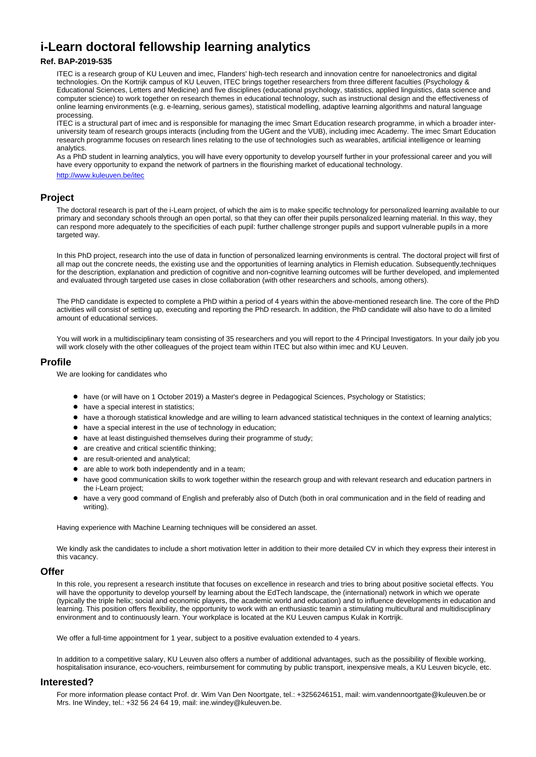# **i-Learn doctoral fellowship learning analytics**

### **Ref. BAP-2019-535**

ITEC is a research group of KU Leuven and imec, Flanders' high-tech research and innovation centre for nanoelectronics and digital technologies. On the Kortrijk campus of KU Leuven, ITEC brings together researchers from three different faculties (Psychology & Educational Sciences, Letters and Medicine) and five disciplines (educational psychology, statistics, applied linguistics, data science and computer science) to work together on research themes in educational technology, such as instructional design and the effectiveness of online learning environments (e.g. e-learning, serious games), statistical modelling, adaptive learning algorithms and natural language processing.

ITEC is a structural part of imec and is responsible for managing the imec Smart Education research programme, in which a broader interuniversity team of research groups interacts (including from the UGent and the VUB), including imec Academy. The imec Smart Education research programme focuses on research lines relating to the use of technologies such as wearables, artificial intelligence or learning analytics.

As a PhD student in learning analytics, you will have every opportunity to develop yourself further in your professional career and you will have every opportunity to expand the network of partners in the flourishing market of educational technology.

<http://www.kuleuven.be/itec>

# **Project**

The doctoral research is part of the i-Learn project, of which the aim is to make specific technology for personalized learning available to our primary and secondary schools through an open portal, so that they can offer their pupils personalized learning material. In this way, they can respond more adequately to the specificities of each pupil: further challenge stronger pupils and support vulnerable pupils in a more targeted way.

In this PhD project, research into the use of data in function of personalized learning environments is central. The doctoral project will first of all map out the concrete needs, the existing use and the opportunities of learning analytics in Flemish education. Subsequently,techniques for the description, explanation and prediction of cognitive and non-cognitive learning outcomes will be further developed, and implemented and evaluated through targeted use cases in close collaboration (with other researchers and schools, among others).

The PhD candidate is expected to complete a PhD within a period of 4 years within the above-mentioned research line. The core of the PhD activities will consist of setting up, executing and reporting the PhD research. In addition, the PhD candidate will also have to do a limited amount of educational services.

You will work in a multidisciplinary team consisting of 35 researchers and you will report to the 4 Principal Investigators. In your daily job you will work closely with the other colleagues of the project team within ITEC but also within imec and KU Leuven.

#### **Profile**

We are looking for candidates who

- have (or will have on 1 October 2019) a Master's degree in Pedagogical Sciences, Psychology or Statistics;
- have a special interest in statistics;
- have a thorough statistical knowledge and are willing to learn advanced statistical techniques in the context of learning analytics;
- have a special interest in the use of technology in education;
- have at least distinguished themselves during their programme of study;
- are creative and critical scientific thinking;
- are result-oriented and analytical;
- are able to work both independently and in a team;
- have good communication skills to work together within the research group and with relevant research and education partners in the i-Learn project;
- have a very good command of English and preferably also of Dutch (both in oral communication and in the field of reading and writing).

Having experience with Machine Learning techniques will be considered an asset.

We kindly ask the candidates to include a short motivation letter in addition to their more detailed CV in which they express their interest in this vacancy.

#### **Offer**

In this role, you represent a research institute that focuses on excellence in research and tries to bring about positive societal effects. You will have the opportunity to develop yourself by learning about the EdTech landscape, the (international) network in which we operate (typically the triple helix; social and economic players, the academic world and education) and to influence developments in education and learning. This position offers flexibility, the opportunity to work with an enthusiastic teamin a stimulating multicultural and multidisciplinary environment and to continuously learn. Your workplace is located at the KU Leuven campus Kulak in Kortrijk.

We offer a full-time appointment for 1 year, subject to a positive evaluation extended to 4 years.

In addition to a competitive salary, KU Leuven also offers a number of additional advantages, such as the possibility of flexible working, hospitalisation insurance, eco-vouchers, reimbursement for commuting by public transport, inexpensive meals, a KU Leuven bicycle, etc.

## **Interested?**

For more information please contact Prof. dr. Wim Van Den Noortgate, tel.: +3256246151, mail: wim.vandennoortgate@kuleuven.be or Mrs. Ine Windey, tel.: +32 56 24 64 19, mail: ine.windey@kuleuven.be.